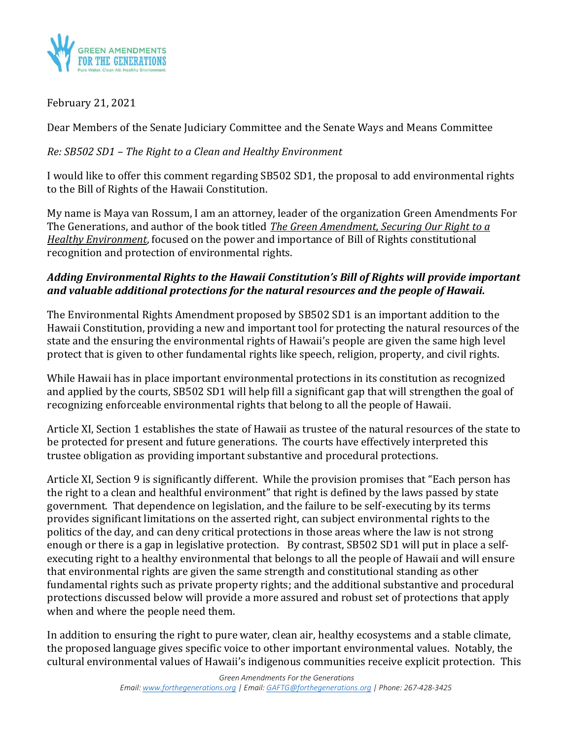

# February 21, 2021

Dear Members of the Senate Judiciary Committee and the Senate Ways and Means Committee

# *Re: SB502 SD1 – The Right to a Clean and Healthy Environment*

I would like to offer this comment regarding SB502 SD1, the proposal to add environmental rights to the Bill of Rights of the Hawaii Constitution.

My name is Maya van Rossum, I am an attorney, leader of the organization Green Amendments For The Generations, and author of the book titled *The Green Amendment, Securing Our Right to a Healthy Environment*, focused on the power and importance of Bill of Rights constitutional recognition and protection of environmental rights.

# *Adding Environmental Rights to the Hawaii Constitution's Bill of Rights will provide important and valuable additional protections for the natural resources and the people of Hawaii.*

The Environmental Rights Amendment proposed by SB502 SD1 is an important addition to the Hawaii Constitution, providing a new and important tool for protecting the natural resources of the state and the ensuring the environmental rights of Hawaii's people are given the same high level protect that is given to other fundamental rights like speech, religion, property, and civil rights.

While Hawaii has in place important environmental protections in its constitution as recognized and applied by the courts, SB502 SD1 will help fill a significant gap that will strengthen the goal of recognizing enforceable environmental rights that belong to all the people of Hawaii.

Article XI, Section 1 establishes the state of Hawaii as trustee of the natural resources of the state to be protected for present and future generations. The courts have effectively interpreted this trustee obligation as providing important substantive and procedural protections.

Article XI, Section 9 is significantly different. While the provision promises that "Each person has the right to a clean and healthful environment" that right is defined by the laws passed by state government. That dependence on legislation, and the failure to be self-executing by its terms provides significant limitations on the asserted right, can subject environmental rights to the politics of the day, and can deny critical protections in those areas where the law is not strong enough or there is a gap in legislative protection. By contrast, SB502 SD1 will put in place a selfexecuting right to a healthy environmental that belongs to all the people of Hawaii and will ensure that environmental rights are given the same strength and constitutional standing as other fundamental rights such as private property rights; and the additional substantive and procedural protections discussed below will provide a more assured and robust set of protections that apply when and where the people need them.

In addition to ensuring the right to pure water, clean air, healthy ecosystems and a stable climate, the proposed language gives specific voice to other important environmental values. Notably, the cultural environmental values of Hawaii's indigenous communities receive explicit protection. This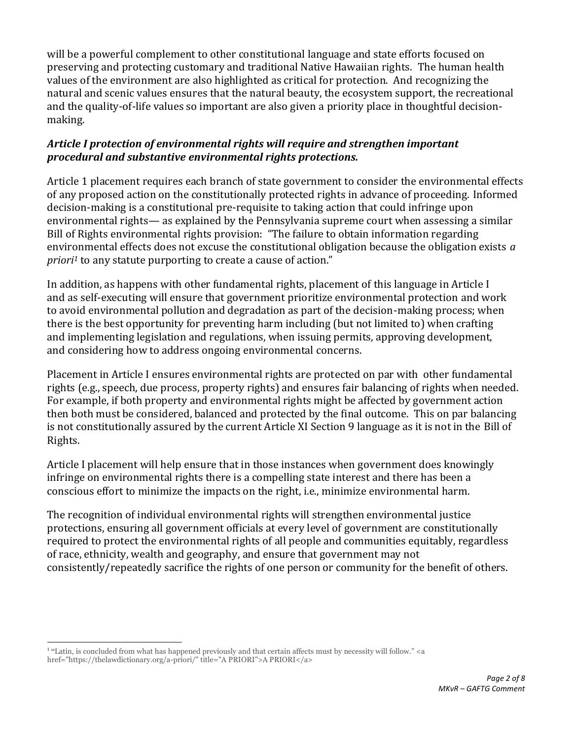will be a powerful complement to other constitutional language and state efforts focused on preserving and protecting customary and traditional Native Hawaiian rights. The human health values of the environment are also highlighted as critical for protection. And recognizing the natural and scenic values ensures that the natural beauty, the ecosystem support, the recreational and the quality-of-life values so important are also given a priority place in thoughtful decisionmaking.

## *Article I protection of environmental rights will require and strengthen important procedural and substantive environmental rights protections.*

Article 1 placement requires each branch of state government to consider the environmental effects of any proposed action on the constitutionally protected rights in advance of proceeding. Informed decision-making is a constitutional pre-requisite to taking action that could infringe upon environmental rights— as explained by the Pennsylvania supreme court when assessing a similar Bill of Rights environmental rights provision: "The failure to obtain information regarding environmental effects does not excuse the constitutional obligation because the obligation exists *a priori<sup>1</sup>* to any statute purporting to create a cause of action."

In addition, as happens with other fundamental rights, placement of this language in Article I and as self-executing will ensure that government prioritize environmental protection and work to avoid environmental pollution and degradation as part of the decision-making process; when there is the best opportunity for preventing harm including (but not limited to) when crafting and implementing legislation and regulations, when issuing permits, approving development, and considering how to address ongoing environmental concerns.

Placement in Article I ensures environmental rights are protected on par with other fundamental rights (e.g., speech, due process, property rights) and ensures fair balancing of rights when needed. For example, if both property and environmental rights might be affected by government action then both must be considered, balanced and protected by the final outcome. This on par balancing is not constitutionally assured by the current Article XI Section 9 language as it is not in the Bill of Rights.

Article I placement will help ensure that in those instances when government does knowingly infringe on environmental rights there is a compelling state interest and there has been a conscious effort to minimize the impacts on the right, i.e., minimize environmental harm.

The recognition of individual environmental rights will strengthen environmental justice protections, ensuring all government officials at every level of government are constitutionally required to protect the environmental rights of all people and communities equitably, regardless of race, ethnicity, wealth and geography, and ensure that government may not consistently/repeatedly sacrifice the rights of one person or community for the benefit of others.

<sup>&</sup>lt;sup>1</sup> "Latin, is concluded from what has happened previously and that certain affects must by necessity will follow." <a href="https://thelawdictionary.org/a-priori/" title="A PRIORI">A PRIORI</a>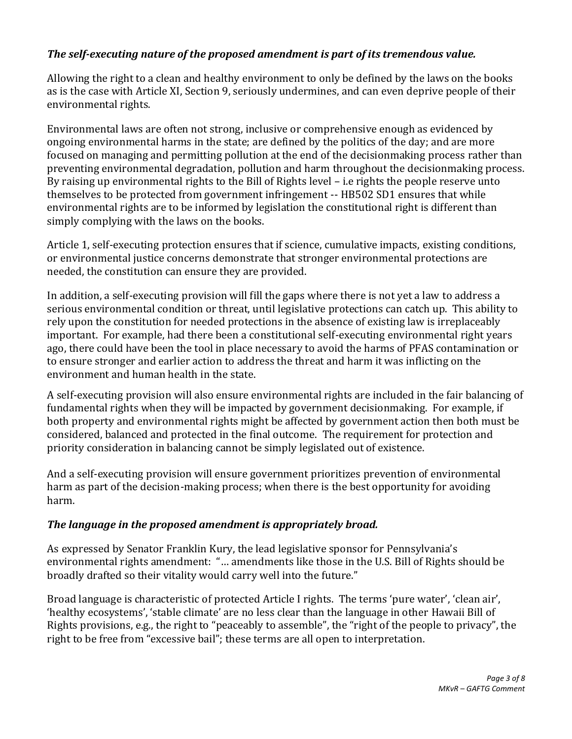## *The self-executing nature of the proposed amendment is part of its tremendous value.*

Allowing the right to a clean and healthy environment to only be defined by the laws on the books as is the case with Article XI, Section 9, seriously undermines, and can even deprive people of their environmental rights.

Environmental laws are often not strong, inclusive or comprehensive enough as evidenced by ongoing environmental harms in the state; are defined by the politics of the day; and are more focused on managing and permitting pollution at the end of the decisionmaking process rather than preventing environmental degradation, pollution and harm throughout the decisionmaking process. By raising up environmental rights to the Bill of Rights level – i.e rights the people reserve unto themselves to be protected from government infringement -- HB502 SD1 ensures that while environmental rights are to be informed by legislation the constitutional right is different than simply complying with the laws on the books.

Article 1, self-executing protection ensures that if science, cumulative impacts, existing conditions, or environmental justice concerns demonstrate that stronger environmental protections are needed, the constitution can ensure they are provided.

In addition, a self-executing provision will fill the gaps where there is not yet a law to address a serious environmental condition or threat, until legislative protections can catch up. This ability to rely upon the constitution for needed protections in the absence of existing law is irreplaceably important. For example, had there been a constitutional self-executing environmental right years ago, there could have been the tool in place necessary to avoid the harms of PFAS contamination or to ensure stronger and earlier action to address the threat and harm it was inflicting on the environment and human health in the state.

A self-executing provision will also ensure environmental rights are included in the fair balancing of fundamental rights when they will be impacted by government decisionmaking. For example, if both property and environmental rights might be affected by government action then both must be considered, balanced and protected in the final outcome. The requirement for protection and priority consideration in balancing cannot be simply legislated out of existence.

And a self-executing provision will ensure government prioritizes prevention of environmental harm as part of the decision-making process; when there is the best opportunity for avoiding harm.

#### *The language in the proposed amendment is appropriately broad.*

As expressed by Senator Franklin Kury, the lead legislative sponsor for Pennsylvania's environmental rights amendment: "… amendments like those in the U.S. Bill of Rights should be broadly drafted so their vitality would carry well into the future."

Broad language is characteristic of protected Article I rights. The terms 'pure water', 'clean air', 'healthy ecosystems', 'stable climate' are no less clear than the language in other Hawaii Bill of Rights provisions, e.g., the right to "peaceably to assemble", the "right of the people to privacy", the right to be free from "excessive bail"; these terms are all open to interpretation.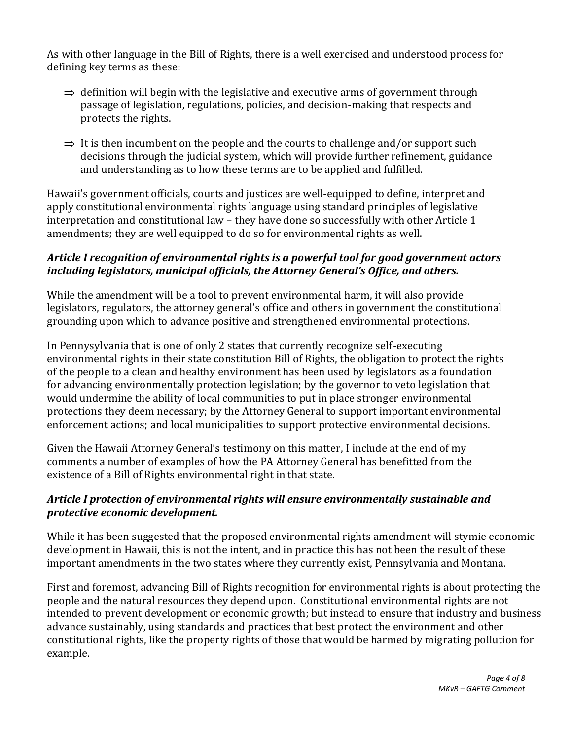As with other language in the Bill of Rights, there is a well exercised and understood process for defining key terms as these:

- $\Rightarrow$  definition will begin with the legislative and executive arms of government through passage of legislation, regulations, policies, and decision-making that respects and protects the rights.
- $\Rightarrow$  It is then incumbent on the people and the courts to challenge and/or support such decisions through the judicial system, which will provide further refinement, guidance and understanding as to how these terms are to be applied and fulfilled.

Hawaii's government officials, courts and justices are well-equipped to define, interpret and apply constitutional environmental rights language using standard principles of legislative interpretation and constitutional law – they have done so successfully with other Article 1 amendments; they are well equipped to do so for environmental rights as well.

## *Article I recognition of environmental rights is a powerful tool for good government actors including legislators, municipal officials, the Attorney General's Office, and others.*

While the amendment will be a tool to prevent environmental harm, it will also provide legislators, regulators, the attorney general's office and others in government the constitutional grounding upon which to advance positive and strengthened environmental protections.

In Pennysylvania that is one of only 2 states that currently recognize self-executing environmental rights in their state constitution Bill of Rights, the obligation to protect the rights of the people to a clean and healthy environment has been used by legislators as a foundation for advancing environmentally protection legislation; by the governor to veto legislation that would undermine the ability of local communities to put in place stronger environmental protections they deem necessary; by the Attorney General to support important environmental enforcement actions; and local municipalities to support protective environmental decisions.

Given the Hawaii Attorney General's testimony on this matter, I include at the end of my comments a number of examples of how the PA Attorney General has benefitted from the existence of a Bill of Rights environmental right in that state.

### *Article I protection of environmental rights will ensure environmentally sustainable and protective economic development.*

While it has been suggested that the proposed environmental rights amendment will stymie economic development in Hawaii, this is not the intent, and in practice this has not been the result of these important amendments in the two states where they currently exist, Pennsylvania and Montana.

First and foremost, advancing Bill of Rights recognition for environmental rights is about protecting the people and the natural resources they depend upon. Constitutional environmental rights are not intended to prevent development or economic growth; but instead to ensure that industry and business advance sustainably, using standards and practices that best protect the environment and other constitutional rights, like the property rights of those that would be harmed by migrating pollution for example.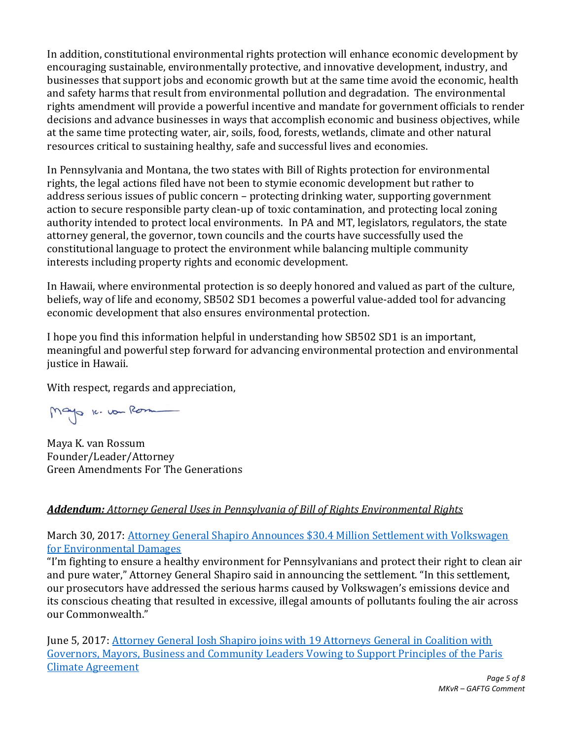In addition, constitutional environmental rights protection will enhance economic development by encouraging sustainable, environmentally protective, and innovative development, industry, and businesses that support jobs and economic growth but at the same time avoid the economic, health and safety harms that result from environmental pollution and degradation. The environmental rights amendment will provide a powerful incentive and mandate for government officials to render decisions and advance businesses in ways that accomplish economic and business objectives, while at the same time protecting water, air, soils, food, forests, wetlands, climate and other natural resources critical to sustaining healthy, safe and successful lives and economies.

In Pennsylvania and Montana, the two states with Bill of Rights protection for environmental rights, the legal actions filed have not been to stymie economic development but rather to address serious issues of public concern – protecting drinking water, supporting government action to secure responsible party clean-up of toxic contamination, and protecting local zoning authority intended to protect local environments. In PA and MT, legislators, regulators, the state attorney general, the governor, town councils and the courts have successfully used the constitutional language to protect the environment while balancing multiple community interests including property rights and economic development.

In Hawaii, where environmental protection is so deeply honored and valued as part of the culture, beliefs, way of life and economy, SB502 SD1 becomes a powerful value-added tool for advancing economic development that also ensures environmental protection.

I hope you find this information helpful in understanding how SB502 SD1 is an important, meaningful and powerful step forward for advancing environmental protection and environmental justice in Hawaii.

With respect, regards and appreciation,

Mayo k. von Rom

Maya K. van Rossum Founder/Leader/Attorney Green Amendments For The Generations

## *Addendum: Attorney General Uses in Pennsylvania of Bill of Rights Environmental Rights*

March 30, 2017: [Attorney General Shapiro Announces \\$30.4 Million Settlement with Volkswagen](https://www.attorneygeneral.gov/taking-action/press-releases/attorney-general-shapiro-announces-30-4-million-settlement-with-volkswagen-for-environmental-damages/)  [for Environmental Damages](https://www.attorneygeneral.gov/taking-action/press-releases/attorney-general-shapiro-announces-30-4-million-settlement-with-volkswagen-for-environmental-damages/)

"I'm fighting to ensure a healthy environment for Pennsylvanians and protect their right to clean air and pure water," Attorney General Shapiro said in announcing the settlement. "In this settlement, our prosecutors have addressed the serious harms caused by Volkswagen's emissions device and its conscious cheating that resulted in excessive, illegal amounts of pollutants fouling the air across our Commonwealth."

June 5, 2017: Attorney General Josh Shapiro joins with 19 Attorneys General in Coalition with [Governors, Mayors, Business and Community Leaders Vowing to Support Principles of the Paris](https://www.attorneygeneral.gov/taking-action/press-releases/attorney-general-josh-shapiro-joins-with-19-attorneys-general-in-coalition-with-governors-mayors-business-and-community-leaders-vowing-to-support-principles-of-the-paris-climate-agreement/)  [Climate Agreement](https://www.attorneygeneral.gov/taking-action/press-releases/attorney-general-josh-shapiro-joins-with-19-attorneys-general-in-coalition-with-governors-mayors-business-and-community-leaders-vowing-to-support-principles-of-the-paris-climate-agreement/)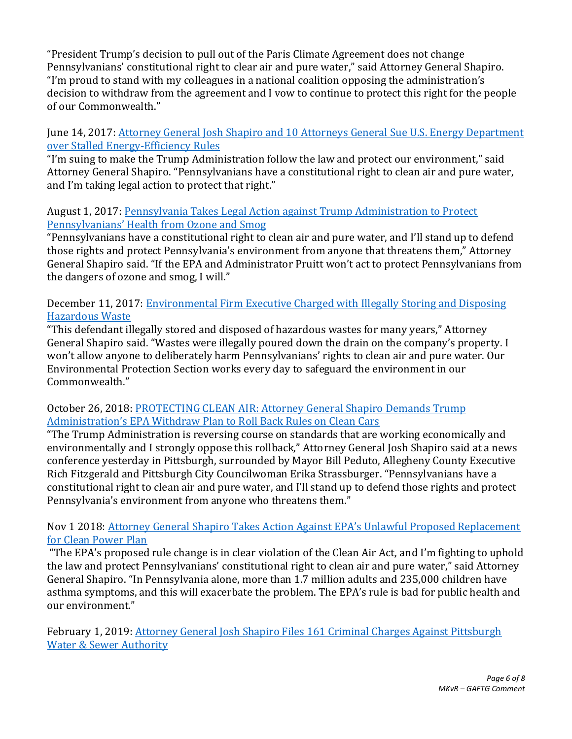"President Trump's decision to pull out of the Paris Climate Agreement does not change Pennsylvanians' constitutional right to clear air and pure water," said Attorney General Shapiro. "I'm proud to stand with my colleagues in a national coalition opposing the administration's decision to withdraw from the agreement and I vow to continue to protect this right for the people of our Commonwealth."

June 14, 2017[: Attorney General Josh Shapiro and 10 Attorneys General Sue U.S. Energy Department](https://www.attorneygeneral.gov/taking-action/legal-action/attorney-general-josh-shapiro-and-10-attorneys-general-sue-u-s-energy-department-over-stalled-energy-efficiency-rules/)  [over Stalled Energy-Efficiency Rules](https://www.attorneygeneral.gov/taking-action/legal-action/attorney-general-josh-shapiro-and-10-attorneys-general-sue-u-s-energy-department-over-stalled-energy-efficiency-rules/)

"I'm suing to make the Trump Administration follow the law and protect our environment," said Attorney General Shapiro. "Pennsylvanians have a constitutional right to clean air and pure water, and I'm taking legal action to protect that right."

#### August 1, 2017: [Pennsylvania Takes Legal Action against Trump Administration to Protect](https://www.attorneygeneral.gov/taking-action/legal-action/pennsylvania-takes-legal-action-against-trump-administration-to-protect-pennsylvanians-health-from-ozone-and-smog/)  Pennsylva[nians' Health from Ozone and Smog](https://www.attorneygeneral.gov/taking-action/legal-action/pennsylvania-takes-legal-action-against-trump-administration-to-protect-pennsylvanians-health-from-ozone-and-smog/)

"Pennsylvanians have a constitutional right to clean air and pure water, and I'll stand up to defend those rights and protect Pennsylvania's environment from anyone that threatens them," Attorney General Shapiro said. "If the EPA and Administrator Pruitt won't act to protect Pennsylvanians from the dangers of ozone and smog, I will."

## December 11, 2017: [Environmental Firm Executive Charged with Illegally Storing and Disposing](https://www.attorneygeneral.gov/taking-action/press-releases/environmental-firm-executive-charged-with-illegally-storing-and-disposing-hazardous-waste/)  [Hazardous Waste](https://www.attorneygeneral.gov/taking-action/press-releases/environmental-firm-executive-charged-with-illegally-storing-and-disposing-hazardous-waste/)

"This defendant illegally stored and disposed of hazardous wastes for many years," Attorney General Shapiro said. "Wastes were illegally poured down the drain on the company's property. I won't allow anyone to deliberately harm Pennsylvanians' rights to clean air and pure water. Our Environmental Protection Section works every day to safeguard the environment in our Commonwealth."

### October 26, 2018: [PROTECTING CLEAN AIR: Attorney General Shapiro Demands Trump](https://www.attorneygeneral.gov/taking-action/press-releases/protecting-clean-air-attorney-general-shapiro-demands-trump-administrations-epa-withdraw-plan-to-roll-back-rules-on-clean-cars/)  [Administration's EPA Withdraw Plan to Roll Back Rules on Clean Cars](https://www.attorneygeneral.gov/taking-action/press-releases/protecting-clean-air-attorney-general-shapiro-demands-trump-administrations-epa-withdraw-plan-to-roll-back-rules-on-clean-cars/)

"The Trump Administration is reversing course on standards that are working economically and environmentally and I strongly oppose this rollback," Attorney General Josh Shapiro said at a news conference yesterday in Pittsburgh, surrounded by Mayor Bill Peduto, Allegheny County Executive Rich Fitzgerald and Pittsburgh City Councilwoman Erika Strassburger. "Pennsylvanians have a constitutional right to clean air and pure water, and I'll stand up to defend those rights and protect Pennsylvania's environment from anyone who threatens them."

## Nov 1 2018: [Attorney General Shapiro Takes Action Against EPA's Unlawful Proposed Replacement](https://www.attorneygeneral.gov/taking-action/press-releases/attorney-general-shapiro-takes-action-against-epas-unlawful-proposed-replacement-for-clean-power-plan/)  [for Clean Power Plan](https://www.attorneygeneral.gov/taking-action/press-releases/attorney-general-shapiro-takes-action-against-epas-unlawful-proposed-replacement-for-clean-power-plan/)

"The EPA's proposed rule change is in clear violation of the Clean Air Act, and I'm fighting to uphold the law and protect Pennsylvanians' constitutional right to clean air and pure water," said Attorney General Shapiro. "In Pennsylvania alone, more than 1.7 million adults and 235,000 children have asthma symptoms, and this will exacerbate the problem. The EPA's rule is bad for public health and our environment."

February 1, 2019: Attorney General Josh Shapiro Files 161 Criminal Charges Against Pittsburgh [Water & Sewer Authority](https://www.attorneygeneral.gov/taking-action/press-releases/attorney-general-josh-shapiro-files-161-criminal-charges-against-pittsburgh-water-sewer-authority/)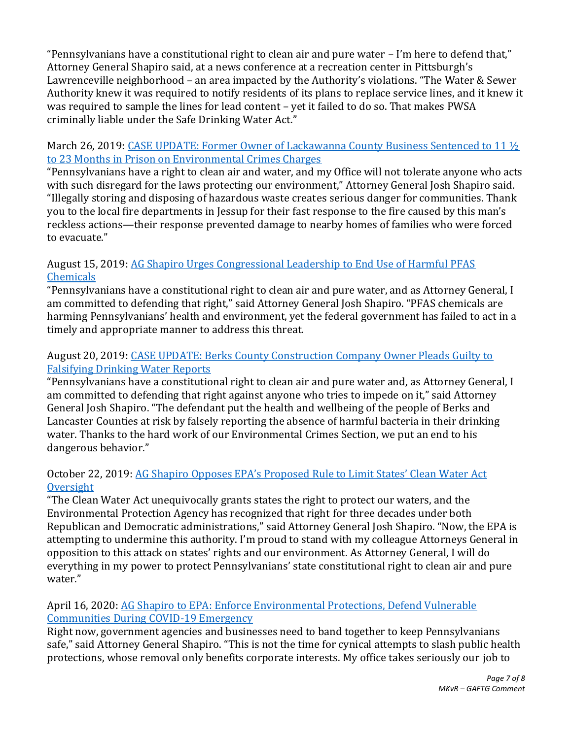"Pennsylvanians have a constitutional right to clean air and pure water – I'm here to defend that," Attorney General Shapiro said, at a news conference at a recreation center in Pittsburgh's Lawrenceville neighborhood – an area impacted by the Authority's violations. "The Water & Sewer Authority knew it was required to notify residents of its plans to replace service lines, and it knew it was required to sample the lines for lead content – yet it failed to do so. That makes PWSA criminally liable under the Safe Drinking Water Act."

### March 26, 2019: CASE UPDATE: Former Owner of Lackawanna County Business Sentenced to 11  $\frac{1}{2}$ [to 23 Months in Prison on Environmental Crimes Charges](https://www.attorneygeneral.gov/taking-action/updates/case-update-former-owner-of-lackawanna-county-business-sentenced-to-11-%c2%bd-to-23-months-in-prison-on-environmental-crimes-charges/)

"Pennsylvanians have a right to clean air and water, and my Office will not tolerate anyone who acts with such disregard for the laws protecting our environment," Attorney General Josh Shapiro said. "Illegally storing and disposing of hazardous waste creates serious danger for communities. Thank you to the local fire departments in Jessup for their fast response to the fire caused by this man's reckless actions—their response prevented damage to nearby homes of families who were forced to evacuate."

# August 15, 2019[: AG Shapiro Urges Congressional Leadership to End Use of Harmful PFAS](https://www.attorneygeneral.gov/taking-action/press-releases/ag-shapiro-urges-congressional-leadership-to-end-use-of-harmful-pfas-chemicals/)  [Chemicals](https://www.attorneygeneral.gov/taking-action/press-releases/ag-shapiro-urges-congressional-leadership-to-end-use-of-harmful-pfas-chemicals/)

"Pennsylvanians have a constitutional right to clean air and pure water, and as Attorney General, I am committed to defending that right," said Attorney General Josh Shapiro. "PFAS chemicals are harming Pennsylvanians' health and environment, yet the federal government has failed to act in a timely and appropriate manner to address this threat.

## August 20, 2019[: CASE UPDATE: Berks County Construction Company Owner Pleads Guilty to](https://www.attorneygeneral.gov/taking-action/updates/case-update-berks-county-construction-company-owner-pleads-guilty-to-falsifying-drinking-water-reports/)  [Falsifying Drinking Water Reports](https://www.attorneygeneral.gov/taking-action/updates/case-update-berks-county-construction-company-owner-pleads-guilty-to-falsifying-drinking-water-reports/)

"Pennsylvanians have a constitutional right to clean air and pure water and, as Attorney General, I am committed to defending that right against anyone who tries to impede on it," said Attorney General Josh Shapiro. "The defendant put the health and wellbeing of the people of Berks and Lancaster Counties at risk by falsely reporting the absence of harmful bacteria in their drinking water. Thanks to the hard work of our Environmental Crimes Section, we put an end to his dangerous behavior."

## October 22, 2019: [AG Shapiro Opposes EPA's Proposed Rule to Limit States' Clean Water Act](https://www.attorneygeneral.gov/taking-action/press-releases/ag-shapiro-opposes-epas-proposed-rule-to-limit-states-clean-water-act-oversight/)  **[Oversight](https://www.attorneygeneral.gov/taking-action/press-releases/ag-shapiro-opposes-epas-proposed-rule-to-limit-states-clean-water-act-oversight/)**

"The Clean Water Act unequivocally grants states the right to protect our waters, and the Environmental Protection Agency has recognized that right for three decades under both Republican and Democratic administrations," said Attorney General Josh Shapiro. "Now, the EPA is attempting to undermine this authority. I'm proud to stand with my colleague Attorneys General in opposition to this attack on states' rights and our environment. As Attorney General, I will do everything in my power to protect Pennsylvanians' state constitutional right to clean air and pure water."

### April 16, 2020[: AG Shapiro to EPA: Enforce Environmental Protections, Defend Vulnerable](https://www.attorneygeneral.gov/taking-action/covid-19/ag-shapiro-to-epa-enforce-environmental-protections-defend-vulnerable-communities-during-covid-19-emergency/)  [Communities During COVID-19 Emergency](https://www.attorneygeneral.gov/taking-action/covid-19/ag-shapiro-to-epa-enforce-environmental-protections-defend-vulnerable-communities-during-covid-19-emergency/)

Right now, government agencies and businesses need to band together to keep Pennsylvanians safe," said Attorney General Shapiro. "This is not the time for cynical attempts to slash public health protections, whose removal only benefits corporate interests. My office takes seriously our job to